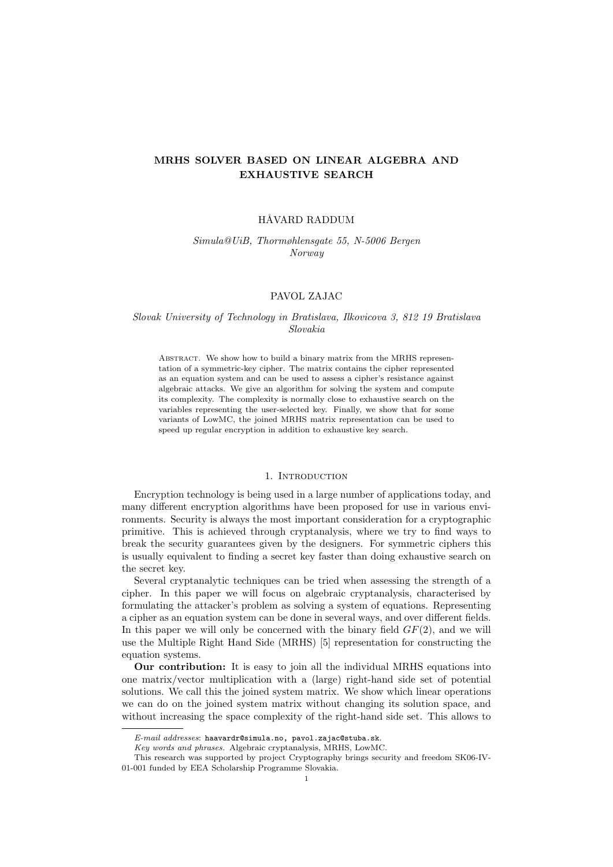# MRHS SOLVER BASED ON LINEAR ALGEBRA AND EXHAUSTIVE SEARCH

# HÅVARD RADDUM

Simula@UiB, Thormøhlensgate 55, N-5006 Bergen Norway

### PAVOL ZAJAC

# Slovak University of Technology in Bratislava, Ilkovicova 3, 812 19 Bratislava Slovakia

ABSTRACT. We show how to build a binary matrix from the MRHS representation of a symmetric-key cipher. The matrix contains the cipher represented as an equation system and can be used to assess a cipher's resistance against algebraic attacks. We give an algorithm for solving the system and compute its complexity. The complexity is normally close to exhaustive search on the variables representing the user-selected key. Finally, we show that for some variants of LowMC, the joined MRHS matrix representation can be used to speed up regular encryption in addition to exhaustive key search.

#### 1. INTRODUCTION

Encryption technology is being used in a large number of applications today, and many different encryption algorithms have been proposed for use in various environments. Security is always the most important consideration for a cryptographic primitive. This is achieved through cryptanalysis, where we try to find ways to break the security guarantees given by the designers. For symmetric ciphers this is usually equivalent to finding a secret key faster than doing exhaustive search on the secret key.

Several cryptanalytic techniques can be tried when assessing the strength of a cipher. In this paper we will focus on algebraic cryptanalysis, characterised by formulating the attacker's problem as solving a system of equations. Representing a cipher as an equation system can be done in several ways, and over different fields. In this paper we will only be concerned with the binary field  $GF(2)$ , and we will use the Multiple Right Hand Side (MRHS) [5] representation for constructing the equation systems.

Our contribution: It is easy to join all the individual MRHS equations into one matrix/vector multiplication with a (large) right-hand side set of potential solutions. We call this the joined system matrix. We show which linear operations we can do on the joined system matrix without changing its solution space, and without increasing the space complexity of the right-hand side set. This allows to

 $E$ -mail addresses: haavardr@simula.no, pavol.zajac@stuba.sk.

Key words and phrases. Algebraic cryptanalysis, MRHS, LowMC.

This research was supported by project Cryptography brings security and freedom SK06-IV-01-001 funded by EEA Scholarship Programme Slovakia.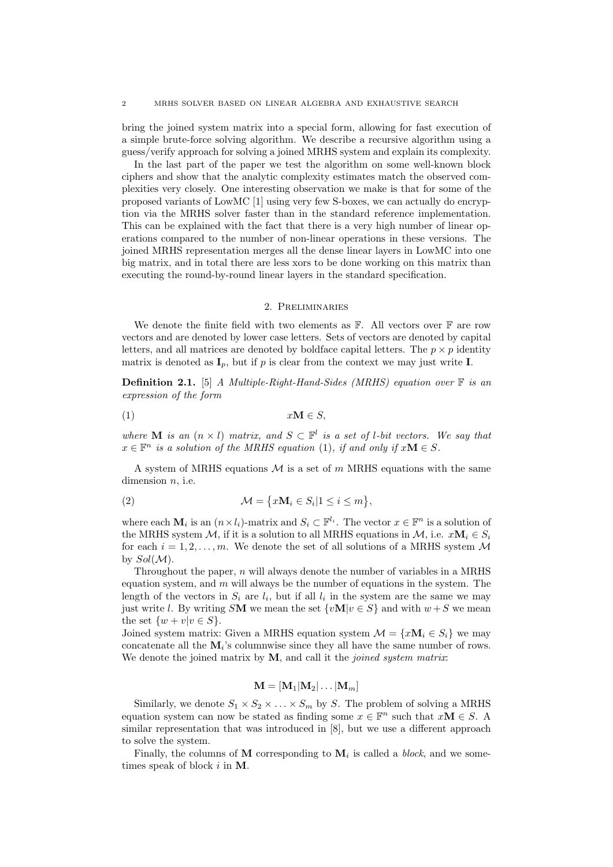bring the joined system matrix into a special form, allowing for fast execution of a simple brute-force solving algorithm. We describe a recursive algorithm using a guess/verify approach for solving a joined MRHS system and explain its complexity.

In the last part of the paper we test the algorithm on some well-known block ciphers and show that the analytic complexity estimates match the observed complexities very closely. One interesting observation we make is that for some of the proposed variants of LowMC [1] using very few S-boxes, we can actually do encryption via the MRHS solver faster than in the standard reference implementation. This can be explained with the fact that there is a very high number of linear operations compared to the number of non-linear operations in these versions. The joined MRHS representation merges all the dense linear layers in LowMC into one big matrix, and in total there are less xors to be done working on this matrix than executing the round-by-round linear layers in the standard specification.

#### 2. Preliminaries

We denote the finite field with two elements as  $\mathbb{F}$ . All vectors over  $\mathbb{F}$  are row vectors and are denoted by lower case letters. Sets of vectors are denoted by capital letters, and all matrices are denoted by boldface capital letters. The  $p \times p$  identity matrix is denoted as  $I_p$ , but if p is clear from the context we may just write I.

**Definition 2.1.** [5] A Multiple-Right-Hand-Sides (MRHS) equation over  $\mathbb{F}$  is an expression of the form

$$
(1) \t xM \in S,
$$

where **M** is an  $(n \times l)$  matrix, and  $S \subset \mathbb{F}^l$  is a set of *l*-bit vectors. We say that  $x \in \mathbb{F}^n$  is a solution of the MRHS equation (1), if and only if  $x\mathbf{M} \in S$ .

A system of MRHS equations  $\mathcal M$  is a set of m MRHS equations with the same dimension  $n$ , i.e.

(2) 
$$
\mathcal{M} = \{x\mathbf{M}_i \in S_i | 1 \leq i \leq m\},\
$$

where each  $\mathbf{M}_i$  is an  $(n \times l_i)$ -matrix and  $S_i \subset \mathbb{F}^{l_i}$ . The vector  $x \in \mathbb{F}^n$  is a solution of the MRHS system M, if it is a solution to all MRHS equations in M, i.e.  $x\mathbf{M}_i \in S_i$ for each  $i = 1, 2, \ldots, m$ . We denote the set of all solutions of a MRHS system M by  $Sol(\mathcal{M}).$ 

Throughout the paper,  $n$  will always denote the number of variables in a MRHS equation system, and  $m$  will always be the number of equations in the system. The length of the vectors in  $S_i$  are  $l_i$ , but if all  $l_i$  in the system are the same we may just write l. By writing SM we mean the set  $\{v\mathbf{M}|v \in S\}$  and with  $w+S$  we mean the set  $\{w + v | v \in S\}.$ 

Joined system matrix: Given a MRHS equation system  $\mathcal{M} = \{x \mathbf{M}_i \in S_i\}$  we may concatenate all the  $M_i$ 's columnwise since they all have the same number of rows. We denote the joined matrix by  $M$ , and call it the *joined system matrix*:

# $\mathbf{M} = [\mathbf{M}_1 | \mathbf{M}_2 | \dots | \mathbf{M}_m]$

Similarly, we denote  $S_1 \times S_2 \times \ldots \times S_m$  by S. The problem of solving a MRHS equation system can now be stated as finding some  $x \in \mathbb{F}^n$  such that  $x\mathbf{M} \in S$ . A similar representation that was introduced in [8], but we use a different approach to solve the system.

Finally, the columns of M corresponding to  $M_i$  is called a *block*, and we sometimes speak of block i in M.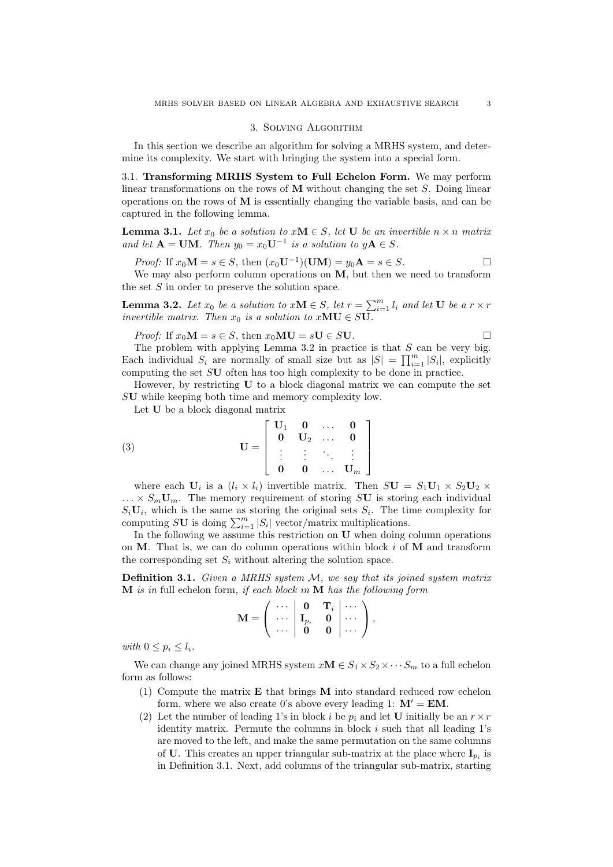#### 3. Solving Algorithm

In this section we describe an algorithm for solving a MRHS system, and determine its complexity. We start with bringing the system into a special form.

3.1. Transforming MRHS System to Full Echelon Form. We may perform linear transformations on the rows of  $M$  without changing the set  $S$ . Doing linear operations on the rows of  $M$  is essentially changing the variable basis, and can be captured in the following lemma.

**Lemma 3.1.** Let  $x_0$  be a solution to  $xM \in S$ , let U be an invertible  $n \times n$  matrix and let  $\mathbf{A} = \mathbf{U}\mathbf{M}$ . Then  $y_0 = x_0 \mathbf{U}^{-1}$  is a solution to  $y\mathbf{A} \in S$ .

*Proof:* If 
$$
x_0 \mathbf{M} = s \in S
$$
, then  $(x_0 \mathbf{U}^{-1})(\mathbf{U}\mathbf{M}) = y_0 \mathbf{A} = s \in S$ .

We may also perform column operations on  $M$ , but then we need to transform the set  $S$  in order to preserve the solution space.

**Lemma 3.2.** Let  $x_0$  be a solution to  $xM \in S$ , let  $r = \sum_{i=1}^{m} l_i$  and let **U** be a  $r \times r$ invertible matrix. Then  $x_0$  is a solution to  $xMU \in SU$ .

*Proof:* If  $x_0 \mathbf{M} = s \in S$ , then  $x_0 \mathbf{M} \mathbf{U} = s \mathbf{U} \in S \mathbf{U}$ .

The problem with applying Lemma 3.2 in practice is that  $S$  can be very big. Each individual  $S_i$  are normally of small size but as  $|S| = \prod_{i=1}^m |S_i|$ , explicitly computing the set SU often has too high complexity to be done in practice.

However, by restricting  $U$  to a block diagonal matrix we can compute the set SU while keeping both time and memory complexity low.

Let U be a block diagonal matrix

(3) 
$$
\mathbf{U} = \begin{bmatrix} \mathbf{U}_1 & \mathbf{0} & \dots & \mathbf{0} \\ \mathbf{0} & \mathbf{U}_2 & \dots & \mathbf{0} \\ \vdots & \vdots & \ddots & \vdots \\ \mathbf{0} & \mathbf{0} & \dots & \mathbf{U}_m \end{bmatrix}
$$

where each  $U_i$  is a  $(l_i \times l_i)$  invertible matrix. Then  $S\mathbf{U} = S_1\mathbf{U}_1 \times S_2\mathbf{U}_2 \times S_3$  $\ldots \times S_m U_m$ . The memory requirement of storing SU is storing each individual  $S_i$ **U**<sub>i</sub>, which is the same as storing the original sets  $S_i$ . The time complexity for computing SU is doing  $\sum_{i=1}^{m} |S_i|$  vector/matrix multiplications.

In the following we assume this restriction on U when doing column operations on  $M$ . That is, we can do column operations within block i of  $M$  and transform the corresponding set  $S_i$  without altering the solution space.

**Definition 3.1.** Given a MRHS system  $M$ , we say that its joined system matrix  $M$  is in full echelon form, if each block in  $M$  has the following form

$$
\mathbf{M} = \left( \begin{array}{ccc} \cdots & \mathbf{0} & \mathbf{T}_i \\ \cdots & \mathbf{I}_{p_i} & \mathbf{0} \\ \cdots & \mathbf{0} & \mathbf{0} \end{array} \middle| \begin{array}{c} \cdots \\ \cdots \end{array} \right),
$$

with  $0 \leq p_i \leq l_i$ .

We can change any joined MRHS system  $xM \in S_1 \times S_2 \times \cdots S_m$  to a full echelon form as follows:

- (1) Compute the matrix E that brings M into standard reduced row echelon form, where we also create 0's above every leading 1:  $M' = EM$ .
- (2) Let the number of leading 1's in block i be  $p_i$  and let U initially be an  $r \times r$ identity matrix. Permute the columns in block  $i$  such that all leading  $1$ 's are moved to the left, and make the same permutation on the same columns of U. This creates an upper triangular sub-matrix at the place where  $\mathbf{I}_{p_i}$  is in Definition 3.1. Next, add columns of the triangular sub-matrix, starting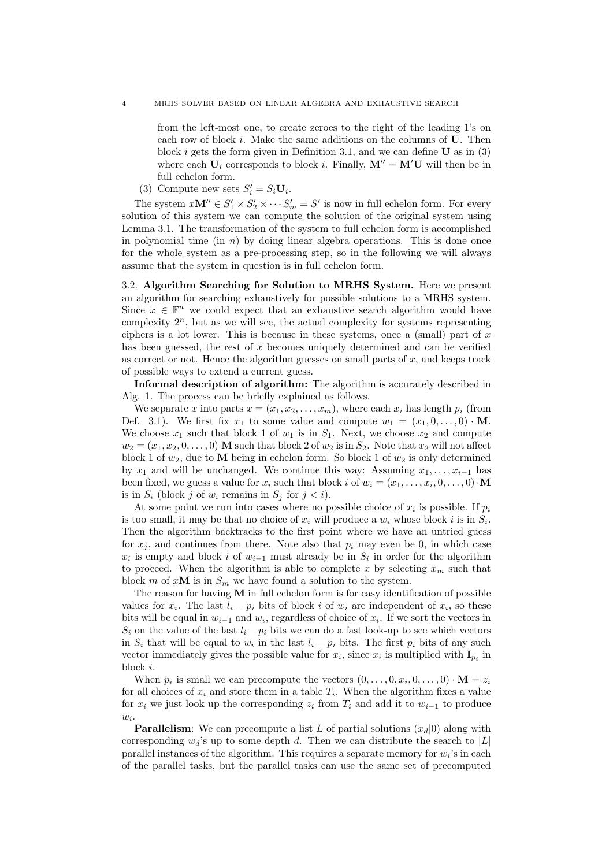from the left-most one, to create zeroes to the right of the leading 1's on each row of block  $i$ . Make the same additions on the columns of  $U$ . Then block i gets the form given in Definition 3.1, and we can define  $U$  as in (3) where each  $U_i$  corresponds to block i. Finally,  $M'' = M'U$  will then be in full echelon form.

(3) Compute new sets  $S_i' = S_i \mathbf{U}_i$ .

The system  $x\mathbf{M}'' \in S'_1 \times S'_2 \times \cdots S'_m = S'$  is now in full echelon form. For every solution of this system we can compute the solution of the original system using Lemma 3.1. The transformation of the system to full echelon form is accomplished in polynomial time (in  $n$ ) by doing linear algebra operations. This is done once for the whole system as a pre-processing step, so in the following we will always assume that the system in question is in full echelon form.

3.2. Algorithm Searching for Solution to MRHS System. Here we present an algorithm for searching exhaustively for possible solutions to a MRHS system. Since  $x \in \mathbb{F}^n$  we could expect that an exhaustive search algorithm would have complexity  $2^n$ , but as we will see, the actual complexity for systems representing ciphers is a lot lower. This is because in these systems, once a (small) part of  $x$ has been guessed, the rest of x becomes uniquely determined and can be verified as correct or not. Hence the algorithm guesses on small parts of  $x$ , and keeps track of possible ways to extend a current guess.

Informal description of algorithm: The algorithm is accurately described in Alg. 1. The process can be briefly explained as follows.

We separate x into parts  $x = (x_1, x_2, \ldots, x_m)$ , where each  $x_i$  has length  $p_i$  (from Def. 3.1). We first fix  $x_1$  to some value and compute  $w_1 = (x_1, 0, \ldots, 0) \cdot M$ . We choose  $x_1$  such that block 1 of  $w_1$  is in  $S_1$ . Next, we choose  $x_2$  and compute  $w_2 = (x_1, x_2, 0, \ldots, 0) \cdot M$  such that block 2 of  $w_2$  is in  $S_2$ . Note that  $x_2$  will not affect block 1 of  $w_2$ , due to M being in echelon form. So block 1 of  $w_2$  is only determined by  $x_1$  and will be unchanged. We continue this way: Assuming  $x_1, \ldots, x_{i-1}$  has been fixed, we guess a value for  $x_i$  such that block i of  $w_i = (x_1, \ldots, x_i, 0, \ldots, 0) \cdot M$ is in  $S_i$  (block j of  $w_i$  remains in  $S_j$  for  $j < i$ ).

At some point we run into cases where no possible choice of  $x_i$  is possible. If  $p_i$ is too small, it may be that no choice of  $x_i$  will produce a  $w_i$  whose block i is in  $S_i$ . Then the algorithm backtracks to the first point where we have an untried guess for  $x_j$ , and continues from there. Note also that  $p_i$  may even be 0, in which case  $x_i$  is empty and block i of  $w_{i-1}$  must already be in  $S_i$  in order for the algorithm to proceed. When the algorithm is able to complete x by selecting  $x_m$  such that block m of  $x\mathbf{M}$  is in  $S_m$  we have found a solution to the system.

The reason for having  $M$  in full echelon form is for easy identification of possible values for  $x_i$ . The last  $l_i - p_i$  bits of block i of  $w_i$  are independent of  $x_i$ , so these bits will be equal in  $w_{i-1}$  and  $w_i$ , regardless of choice of  $x_i$ . If we sort the vectors in  $S_i$  on the value of the last  $l_i - p_i$  bits we can do a fast look-up to see which vectors in  $S_i$  that will be equal to  $w_i$  in the last  $l_i - p_i$  bits. The first  $p_i$  bits of any such vector immediately gives the possible value for  $x_i$ , since  $x_i$  is multiplied with  $\mathbf{I}_{p_i}$  in block i.

When  $p_i$  is small we can precompute the vectors  $(0, \ldots, 0, x_i, 0, \ldots, 0) \cdot \mathbf{M} = z_i$ for all choices of  $x_i$  and store them in a table  $T_i$ . When the algorithm fixes a value for  $x_i$  we just look up the corresponding  $z_i$  from  $T_i$  and add it to  $w_{i-1}$  to produce  $w_i$ .

**Parallelism:** We can precompute a list L of partial solutions  $(x_d|0)$  along with corresponding  $w_d$ 's up to some depth d. Then we can distribute the search to |L| parallel instances of the algorithm. This requires a separate memory for  $w_i$ 's in each of the parallel tasks, but the parallel tasks can use the same set of precomputed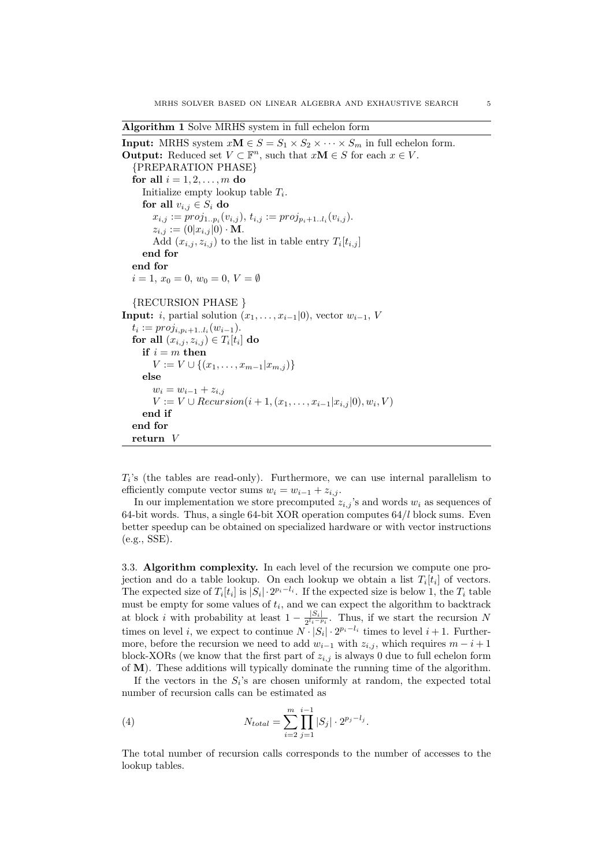Algorithm 1 Solve MRHS system in full echelon form

```
Input: MRHS system xM \in S = S_1 \times S_2 \times \cdots \times S_m in full echelon form.
Output: Reduced set V \subset \mathbb{F}^n, such that xM \in S for each x \in V.
   {PREPARATION PHASE}
  for all i = 1, 2, \ldots, m do
      Initialize empty lookup table T_i.
     for all v_{i,j} \in S_i do
        x_{i,j} := proj_{1..p_i}(v_{i,j}), t_{i,j} := proj_{p_i+1..l_i}(v_{i,j}).z_{i,j} := (0|x_{i,j}|0) \cdot M.Add (x_{i,j}, z_{i,j}) to the list in table entry T_i[t_{i,j}]end for
  end for
  i = 1, x_0 = 0, w_0 = 0, V = \emptyset{RECURSION PHASE }
Input: i, partial solution (x_1, \ldots, x_{i-1}|0), vector w_{i-1}, V
   t_i := proj_{i, p_i+1..l_i}(w_{i-1}).for all (x_{i,j}, z_{i,j}) \in T_i[t_i] do
     if i = m then
        V := V \cup \{(x_1, \ldots, x_{m-1} | x_{m,i})\}else
        w_i = w_{i-1} + z_{i,j}V := V \cup Recursion(i + 1, (x_1, \ldots, x_{i-1} | x_{i,j} | 0), w_i, V)end if
   end for
  return V
```
 $T_i$ 's (the tables are read-only). Furthermore, we can use internal parallelism to efficiently compute vector sums  $w_i = w_{i-1} + z_{i,i}$ .

In our implementation we store precomputed  $z_{i,j}$ 's and words  $w_i$  as sequences of 64-bit words. Thus, a single 64-bit XOR operation computes  $64/l$  block sums. Even better speedup can be obtained on specialized hardware or with vector instructions (e.g., SSE).

3.3. Algorithm complexity. In each level of the recursion we compute one projection and do a table lookup. On each lookup we obtain a list  $T_i[t_i]$  of vectors. The expected size of  $T_i[t_i]$  is  $|S_i| \cdot 2^{p_i-l_i}$ . If the expected size is below 1, the  $T_i$  table must be empty for some values of  $t_i$ , and we can expect the algorithm to backtrack at block *i* with probability at least  $1 - \frac{|S_i|}{2l_i - 1}$  $\frac{|S_i|}{2^{l_i-p_i}}$ . Thus, if we start the recursion N times on level *i*, we expect to continue  $N \cdot |S_i| \cdot 2^{p_i - l_i}$  times to level *i* + 1. Furthermore, before the recursion we need to add  $w_{i-1}$  with  $z_{i,j}$ , which requires  $m - i + 1$ block-XORs (we know that the first part of  $z_{i,j}$  is always 0 due to full echelon form of M). These additions will typically dominate the running time of the algorithm.

If the vectors in the  $S_i$ 's are chosen uniformly at random, the expected total number of recursion calls can be estimated as

(4) 
$$
N_{total} = \sum_{i=2}^{m} \prod_{j=1}^{i-1} |S_j| \cdot 2^{p_j - l_j}.
$$

The total number of recursion calls corresponds to the number of accesses to the lookup tables.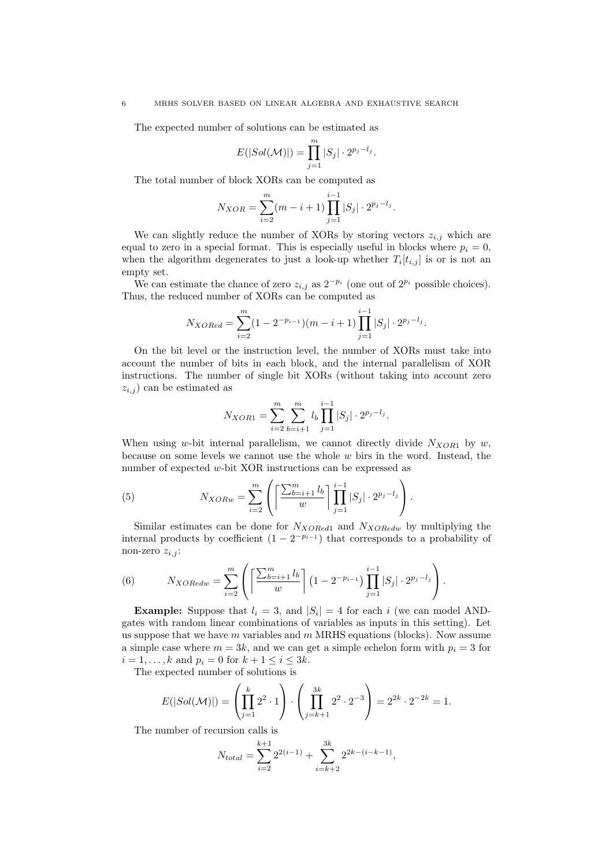The expected number of solutions can be estimated as

$$
E(|Sol(\mathcal{M})|) = \prod_{j=1}^m |S_j| \cdot 2^{p_j - l_j}.
$$

The total number of block XORs can be computed as

$$
N_{XOR} = \sum_{i=2}^{m} (m - i + 1) \prod_{j=1}^{i-1} |S_j| \cdot 2^{p_j - l_j}.
$$

We can slightly reduce the number of XORs by storing vectors  $z_{i,j}$  which are equal to zero in a special format. This is especially useful in blocks where  $p_i = 0$ , when the algorithm degenerates to just a look-up whether  $T_i[t_{i,j}]$  is or is not an empty set.

We can estimate the chance of zero  $z_{i,j}$  as  $2^{-p_i}$  (one out of  $2^{p_i}$  possible choices). Thus, the reduced number of XORs can be computed as

$$
N_{XORed} = \sum_{i=2}^{m} (1 - 2^{-p_{i-1}})(m - i + 1) \prod_{j=1}^{i-1} |S_j| \cdot 2^{p_j - l_j}.
$$

On the bit level or the instruction level, the number of XORs must take into account the number of bits in each block, and the internal parallelism of XOR instructions. The number of single bit XORs (without taking into account zero  $z_{i,j}$  can be estimated as

$$
N_{XOR1} = \sum_{i=2}^{m} \sum_{b=i+1}^{m} l_b \prod_{j=1}^{i-1} |S_j| \cdot 2^{p_j - l_j}.
$$

When using w-bit internal parallelism, we cannot directly divide  $N_{XOR1}$  by w, because on some levels we cannot use the whole  $w$  birs in the word. Instead, the number of expected w-bit XOR instructions can be expressed as

(5) 
$$
N_{XORw} = \sum_{i=2}^{m} \left( \left[ \frac{\sum_{b=i+1}^{m} l_b}{w} \right] \prod_{j=1}^{i-1} |S_j| \cdot 2^{p_j - l_j} \right).
$$

Similar estimates can be done for  $N_{XORed1}$  and  $N_{XORedw}$  by multiplying the internal products by coefficient  $(1 - 2^{-p_{i-1}})$  that corresponds to a probability of non-zero  $z_{i,j}$ :

(6) 
$$
N_{XORedw} = \sum_{i=2}^{m} \left( \left\lceil \frac{\sum_{b=i+1}^{m} l_b}{w} \right\rceil (1 - 2^{-p_{i-1}}) \prod_{j=1}^{i-1} |S_j| \cdot 2^{p_j - l_j} \right).
$$

**Example:** Suppose that  $l_i = 3$ , and  $|S_i| = 4$  for each i (we can model ANDgates with random linear combinations of variables as inputs in this setting). Let us suppose that we have m variables and  $m$  MRHS equations (blocks). Now assume a simple case where  $m = 3k$ , and we can get a simple echelon form with  $p_i = 3$  for  $i = 1, ..., k$  and  $p_i = 0$  for  $k + 1 \le i \le 3k$ .

The expected number of solutions is

$$
E(|Sol(\mathcal{M})|) = \left(\prod_{j=1}^k 2^2 \cdot 1\right) \cdot \left(\prod_{j=k+1}^{3k} 2^2 \cdot 2^{-3}\right) = 2^{2k} \cdot 2^{-2k} = 1.
$$

The number of recursion calls is

$$
N_{total} = \sum_{i=2}^{k+1} 2^{2(i-1)} + \sum_{i=k+2}^{3k} 2^{2k - (i-k-1)},
$$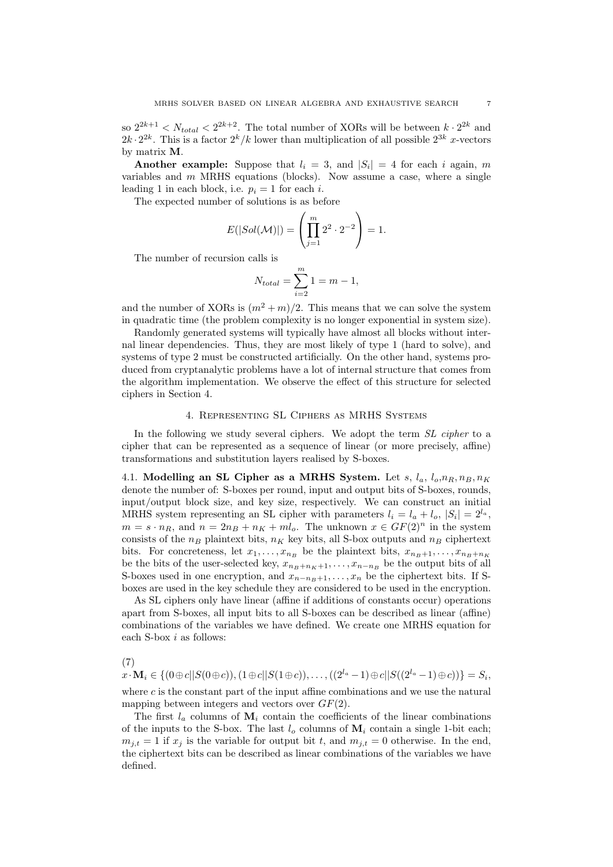so  $2^{2k+1} < N_{total} < 2^{2k+2}$ . The total number of XORs will be between  $k \cdot 2^{2k}$  and  $2k \cdot 2^{2k}$ . This is a factor  $2^k/k$  lower than multiplication of all possible  $2^{3k}$  x-vectors by matrix M.

Another example: Suppose that  $l_i = 3$ , and  $|S_i| = 4$  for each i again, m variables and  $m$  MRHS equations (blocks). Now assume a case, where a single leading 1 in each block, i.e.  $p_i = 1$  for each i.

The expected number of solutions is as before

$$
E(|Sol(\mathcal{M})|) = \left(\prod_{j=1}^{m} 2^2 \cdot 2^{-2}\right) = 1.
$$

The number of recursion calls is

$$
N_{total} = \sum_{i=2}^{m} 1 = m - 1,
$$

and the number of XORs is  $(m^2 + m)/2$ . This means that we can solve the system in quadratic time (the problem complexity is no longer exponential in system size).

Randomly generated systems will typically have almost all blocks without internal linear dependencies. Thus, they are most likely of type 1 (hard to solve), and systems of type 2 must be constructed artificially. On the other hand, systems produced from cryptanalytic problems have a lot of internal structure that comes from the algorithm implementation. We observe the effect of this structure for selected ciphers in Section 4.

### 4. Representing SL Ciphers as MRHS Systems

In the following we study several ciphers. We adopt the term SL cipher to a cipher that can be represented as a sequence of linear (or more precisely, affine) transformations and substitution layers realised by S-boxes.

4.1. Modelling an SL Cipher as a MRHS System. Let  $s, l_a, l_o, n_R, n_B, n_K$ denote the number of: S-boxes per round, input and output bits of S-boxes, rounds, input/output block size, and key size, respectively. We can construct an initial MRHS system representing an SL cipher with parameters  $l_i = l_a + l_o$ ,  $|S_i| = 2^{l_a}$ ,  $m = s \cdot n_R$ , and  $n = 2n_B + n_K + ml_o$ . The unknown  $x \in GF(2)^n$  in the system consists of the  $n_B$  plaintext bits,  $n_K$  key bits, all S-box outputs and  $n_B$  ciphertext bits. For concreteness, let  $x_1, \ldots, x_{n_B}$  be the plaintext bits,  $x_{n_B+1}, \ldots, x_{n_B+n_K}$ be the bits of the user-selected key,  $x_{n_B+n_K+1}, \ldots, x_{n-n_B}$  be the output bits of all S-boxes used in one encryption, and  $x_{n-nB+1}, \ldots, x_n$  be the ciphertext bits. If Sboxes are used in the key schedule they are considered to be used in the encryption.

As SL ciphers only have linear (affine if additions of constants occur) operations apart from S-boxes, all input bits to all S-boxes can be described as linear (affine) combinations of the variables we have defined. We create one MRHS equation for each S-box i as follows:

(7)

 $x\cdot{\bf M}_i\in \{(0\oplus c||S(0\oplus c)), (1\oplus c||S(1\oplus c)), \dots, ((2^{l_a}-1)\oplus c||S((2^{l_a}-1)\oplus c))\}=S_i,$ 

where  $c$  is the constant part of the input affine combinations and we use the natural mapping between integers and vectors over  $GF(2)$ .

The first  $l_a$  columns of  $\mathbf{M}_i$  contain the coefficients of the linear combinations of the inputs to the S-box. The last  $l_o$  columns of  $\mathbf{M}_i$  contain a single 1-bit each;  $m_{j,t} = 1$  if  $x_j$  is the variable for output bit t, and  $m_{j,t} = 0$  otherwise. In the end, the ciphertext bits can be described as linear combinations of the variables we have defined.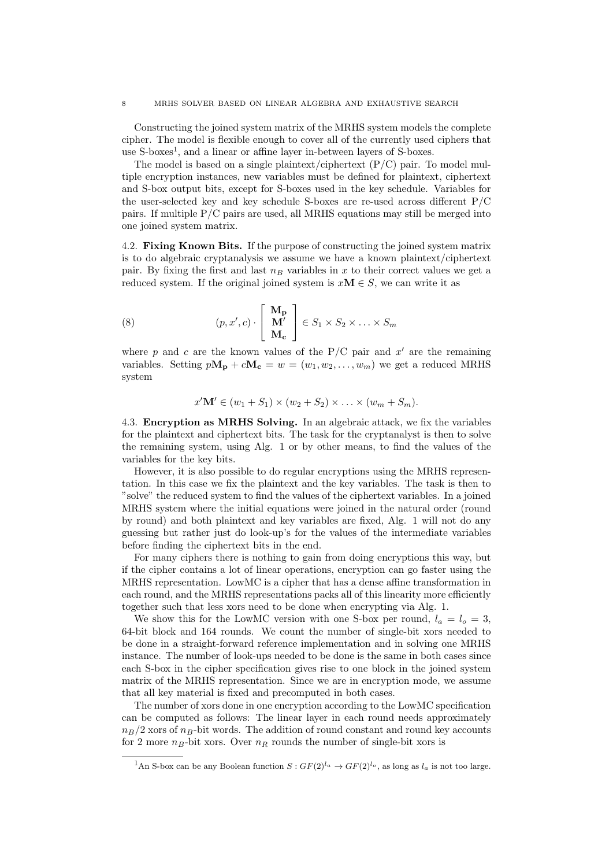Constructing the joined system matrix of the MRHS system models the complete cipher. The model is flexible enough to cover all of the currently used ciphers that use S-boxes<sup>1</sup>, and a linear or affine layer in-between layers of S-boxes.

The model is based on a single plaintext/ciphertext  $(P/C)$  pair. To model multiple encryption instances, new variables must be defined for plaintext, ciphertext and S-box output bits, except for S-boxes used in the key schedule. Variables for the user-selected key and key schedule S-boxes are re-used across different P/C pairs. If multiple P/C pairs are used, all MRHS equations may still be merged into one joined system matrix.

4.2. Fixing Known Bits. If the purpose of constructing the joined system matrix is to do algebraic cryptanalysis we assume we have a known plaintext/ciphertext pair. By fixing the first and last  $n_B$  variables in x to their correct values we get a reduced system. If the original joined system is  $xM \in S$ , we can write it as

(8) 
$$
(p, x', c) \cdot \begin{bmatrix} \mathbf{M_p} \\ \mathbf{M'} \\ \mathbf{M_c} \end{bmatrix} \in S_1 \times S_2 \times \ldots \times S_m
$$

where p and c are the known values of the  $P/C$  pair and  $x'$  are the remaining variables. Setting  $pM_p + cM_c = w = (w_1, w_2, \dots, w_m)$  we get a reduced MRHS system

$$
x'\mathbf{M}' \in (w_1 + S_1) \times (w_2 + S_2) \times \ldots \times (w_m + S_m).
$$

4.3. Encryption as MRHS Solving. In an algebraic attack, we fix the variables for the plaintext and ciphertext bits. The task for the cryptanalyst is then to solve the remaining system, using Alg. 1 or by other means, to find the values of the variables for the key bits.

However, it is also possible to do regular encryptions using the MRHS representation. In this case we fix the plaintext and the key variables. The task is then to "solve" the reduced system to find the values of the ciphertext variables. In a joined MRHS system where the initial equations were joined in the natural order (round by round) and both plaintext and key variables are fixed, Alg. 1 will not do any guessing but rather just do look-up's for the values of the intermediate variables before finding the ciphertext bits in the end.

For many ciphers there is nothing to gain from doing encryptions this way, but if the cipher contains a lot of linear operations, encryption can go faster using the MRHS representation. LowMC is a cipher that has a dense affine transformation in each round, and the MRHS representations packs all of this linearity more efficiently together such that less xors need to be done when encrypting via Alg. 1.

We show this for the LowMC version with one S-box per round,  $l_a = l_o = 3$ , 64-bit block and 164 rounds. We count the number of single-bit xors needed to be done in a straight-forward reference implementation and in solving one MRHS instance. The number of look-ups needed to be done is the same in both cases since each S-box in the cipher specification gives rise to one block in the joined system matrix of the MRHS representation. Since we are in encryption mode, we assume that all key material is fixed and precomputed in both cases.

The number of xors done in one encryption according to the LowMC specification can be computed as follows: The linear layer in each round needs approximately  $n_B/2$  xors of  $n_B$ -bit words. The addition of round constant and round key accounts for 2 more  $n_B$ -bit xors. Over  $n_R$  rounds the number of single-bit xors is

<sup>&</sup>lt;sup>1</sup>An S-box can be any Boolean function  $S: GF(2)^{l_a} \to GF(2)^{l_o}$ , as long as  $l_a$  is not too large.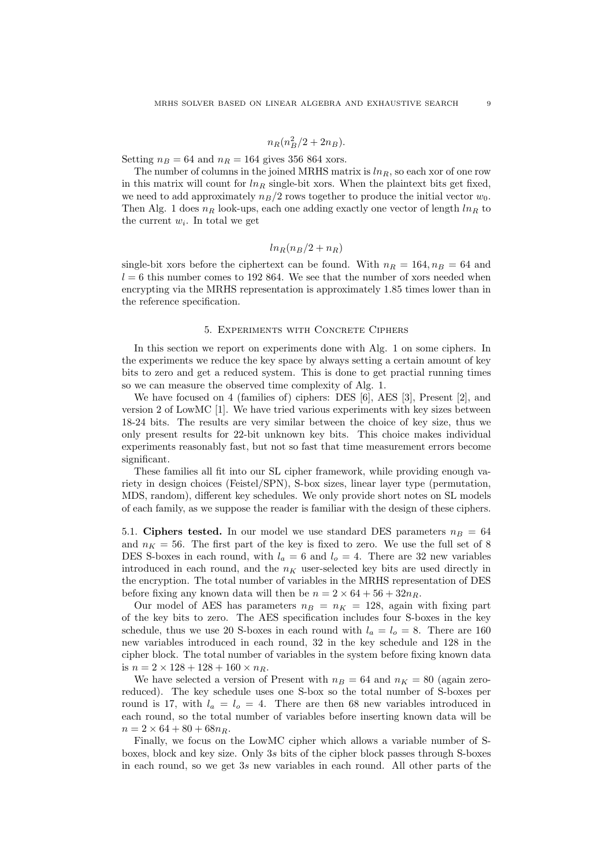# $n_R(n_B^2/2 + 2n_B).$

Setting  $n_B = 64$  and  $n_R = 164$  gives 356 864 xors.

The number of columns in the joined MRHS matrix is  $ln<sub>R</sub>$ , so each xor of one row in this matrix will count for  $ln_R$  single-bit xors. When the plaintext bits get fixed, we need to add approximately  $n_B/2$  rows together to produce the initial vector  $w_0$ . Then Alg. 1 does  $n_R$  look-ups, each one adding exactly one vector of length  $\ln_R$  to the current  $w_i$ . In total we get

# $ln_B(n_B/2 + n_B)$

single-bit xors before the ciphertext can be found. With  $n_R = 164$ ,  $n_B = 64$  and  $l = 6$  this number comes to 192 864. We see that the number of xors needed when encrypting via the MRHS representation is approximately 1.85 times lower than in the reference specification.

#### 5. Experiments with Concrete Ciphers

In this section we report on experiments done with Alg. 1 on some ciphers. In the experiments we reduce the key space by always setting a certain amount of key bits to zero and get a reduced system. This is done to get practial running times so we can measure the observed time complexity of Alg. 1.

We have focused on 4 (families of) ciphers: DES [6], AES [3], Present [2], and version 2 of LowMC [1]. We have tried various experiments with key sizes between 18-24 bits. The results are very similar between the choice of key size, thus we only present results for 22-bit unknown key bits. This choice makes individual experiments reasonably fast, but not so fast that time measurement errors become significant.

These families all fit into our SL cipher framework, while providing enough variety in design choices (Feistel/SPN), S-box sizes, linear layer type (permutation, MDS, random), different key schedules. We only provide short notes on SL models of each family, as we suppose the reader is familiar with the design of these ciphers.

5.1. Ciphers tested. In our model we use standard DES parameters  $n_B = 64$ and  $n_K = 56$ . The first part of the key is fixed to zero. We use the full set of 8 DES S-boxes in each round, with  $l_a = 6$  and  $l_o = 4$ . There are 32 new variables introduced in each round, and the  $n<sub>K</sub>$  user-selected key bits are used directly in the encryption. The total number of variables in the MRHS representation of DES before fixing any known data will then be  $n = 2 \times 64 + 56 + 32n_R$ .

Our model of AES has parameters  $n_B = n_K = 128$ , again with fixing part of the key bits to zero. The AES specification includes four S-boxes in the key schedule, thus we use 20 S-boxes in each round with  $l_a = l_o = 8$ . There are 160 new variables introduced in each round, 32 in the key schedule and 128 in the cipher block. The total number of variables in the system before fixing known data is  $n = 2 \times 128 + 128 + 160 \times n_R$ .

We have selected a version of Present with  $n_B = 64$  and  $n_K = 80$  (again zeroreduced). The key schedule uses one S-box so the total number of S-boxes per round is 17, with  $l_a = l_o = 4$ . There are then 68 new variables introduced in each round, so the total number of variables before inserting known data will be  $n = 2 \times 64 + 80 + 68n_B.$ 

Finally, we focus on the LowMC cipher which allows a variable number of Sboxes, block and key size. Only 3s bits of the cipher block passes through S-boxes in each round, so we get 3s new variables in each round. All other parts of the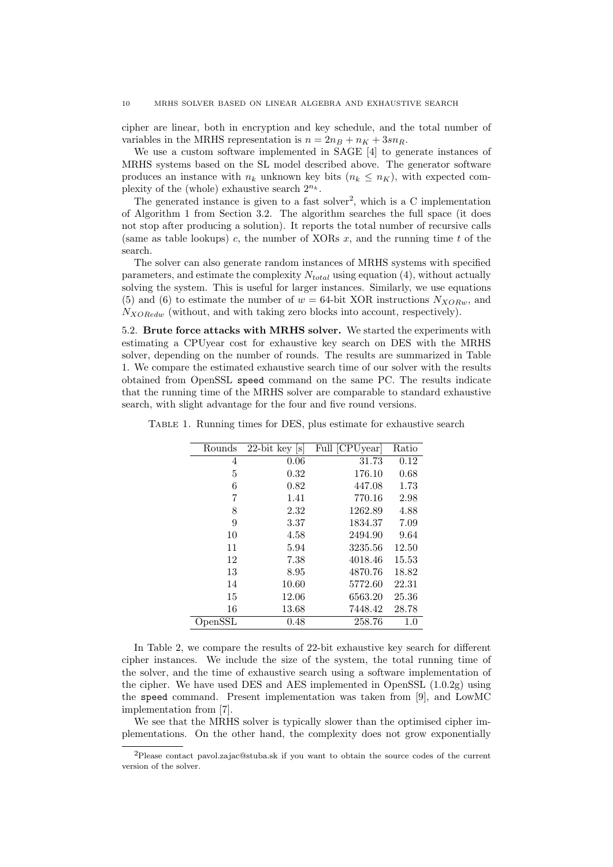cipher are linear, both in encryption and key schedule, and the total number of variables in the MRHS representation is  $n = 2n_B + n_K + 3sn_R$ .

We use a custom software implemented in SAGE [4] to generate instances of MRHS systems based on the SL model described above. The generator software produces an instance with  $n_k$  unknown key bits  $(n_k \leq n_K)$ , with expected complexity of the (whole) exhaustive search  $2^{n_k}$ .

The generated instance is given to a fast solver<sup>2</sup>, which is a  $C$  implementation of Algorithm 1 from Section 3.2. The algorithm searches the full space (it does not stop after producing a solution). It reports the total number of recursive calls (same as table lookups) c, the number of XORs  $x$ , and the running time t of the search.

The solver can also generate random instances of MRHS systems with specified parameters, and estimate the complexity  $N_{total}$  using equation (4), without actually solving the system. This is useful for larger instances. Similarly, we use equations (5) and (6) to estimate the number of  $w = 64$ -bit XOR instructions  $N_{XORw}$ , and  $N_{XORedw}$  (without, and with taking zero blocks into account, respectively).

5.2. Brute force attacks with MRHS solver. We started the experiments with estimating a CPUyear cost for exhaustive key search on DES with the MRHS solver, depending on the number of rounds. The results are summarized in Table 1. We compare the estimated exhaustive search time of our solver with the results obtained from OpenSSL speed command on the same PC. The results indicate that the running time of the MRHS solver are comparable to standard exhaustive search, with slight advantage for the four and five round versions.

| Rounds        | $22$ -bit key $ s $ | Full [CPUyear] | Ratio |
|---------------|---------------------|----------------|-------|
| 4             | 0.06                | 31.73          | 0.12  |
| 5             | 0.32                | 176.10         | 0.68  |
| 6             | 0.82                | 447.08         | 1.73  |
| 7             | 1.41                | 770.16         | 2.98  |
| 8             | 2.32                | 1262.89        | 4.88  |
| 9             | 3.37                | 1834.37        | 7.09  |
| 10            | 4.58                | 2494.90        | 9.64  |
| 11            | 5.94                | 3235.56        | 12.50 |
| 12            | 7.38                | 4018.46        | 15.53 |
| 13            | 8.95                | 4870.76        | 18.82 |
| 14            | 10.60               | 5772.60        | 22.31 |
| 15            | 12.06               | 6563.20        | 25.36 |
| 16            | 13.68               | 7448.42        | 28.78 |
| $\rm OpenSSL$ | 0.48                | 258.76         | 1.0   |

Table 1. Running times for DES, plus estimate for exhaustive search

In Table 2, we compare the results of 22-bit exhaustive key search for different cipher instances. We include the size of the system, the total running time of the solver, and the time of exhaustive search using a software implementation of the cipher. We have used DES and AES implemented in OpenSSL  $(1.0.2g)$  using the speed command. Present implementation was taken from [9], and LowMC implementation from [7].

We see that the MRHS solver is typically slower than the optimised cipher implementations. On the other hand, the complexity does not grow exponentially

<sup>2</sup>Please contact pavol.zajac@stuba.sk if you want to obtain the source codes of the current version of the solver.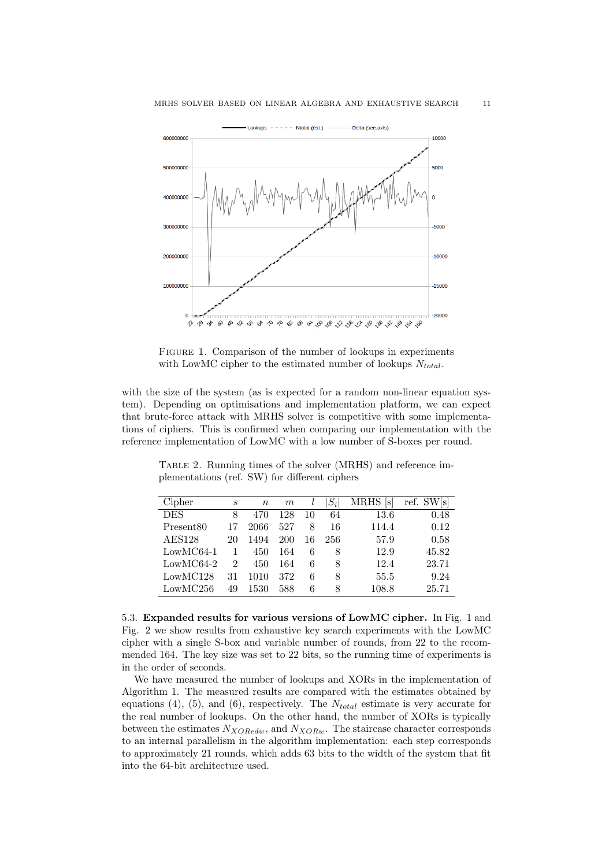

FIGURE 1. Comparison of the number of lookups in experiments with LowMC cipher to the estimated number of lookups  $N_{total}$ .

with the size of the system (as is expected for a random non-linear equation system). Depending on optimisations and implementation platform, we can expect that brute-force attack with MRHS solver is competitive with some implementations of ciphers. This is confirmed when comparing our implementation with the reference implementation of LowMC with a low number of S-boxes per round.

| Cipher                | S  | $\boldsymbol{n}$ | m   |    | $S_i$ | <b>MRHS</b><br>lsl | ref. SW[s] |
|-----------------------|----|------------------|-----|----|-------|--------------------|------------|
| <b>DES</b>            | 8  | 470              | 128 | 10 | 64    | 13.6               | 0.48       |
| Present <sub>80</sub> | 17 | 2066             | 527 | 8  | 16    | 114.4              | 0.12       |
| <b>AES128</b>         | 20 | 1494             | 200 | 16 | 256   | 57.9               | 0.58       |
| $LowMC64-1$           |    | 450              | 164 | 6  | 8     | 12.9               | 45.82      |
| $LowMC64-2$           | 2  | 450              | 164 | 6  | 8     | 12.4               | 23.71      |
| LowMC128              | 31 | 1010             | 372 | 6  | 8     | 55.5               | 9.24       |
| LowMC256              | 49 | 1530             | 588 | 6  | 8     | $108.8\,$          | 25.71      |

Table 2. Running times of the solver (MRHS) and reference implementations (ref. SW) for different ciphers

5.3. Expanded results for various versions of LowMC cipher. In Fig. 1 and Fig. 2 we show results from exhaustive key search experiments with the LowMC cipher with a single S-box and variable number of rounds, from 22 to the recommended 164. The key size was set to 22 bits, so the running time of experiments is in the order of seconds.

We have measured the number of lookups and XORs in the implementation of Algorithm 1. The measured results are compared with the estimates obtained by equations (4), (5), and (6), respectively. The  $N_{total}$  estimate is very accurate for the real number of lookups. On the other hand, the number of XORs is typically between the estimates  $N_{XORedw}$ , and  $N_{XORw}$ . The staircase character corresponds to an internal parallelism in the algorithm implementation: each step corresponds to approximately 21 rounds, which adds 63 bits to the width of the system that fit into the 64-bit architecture used.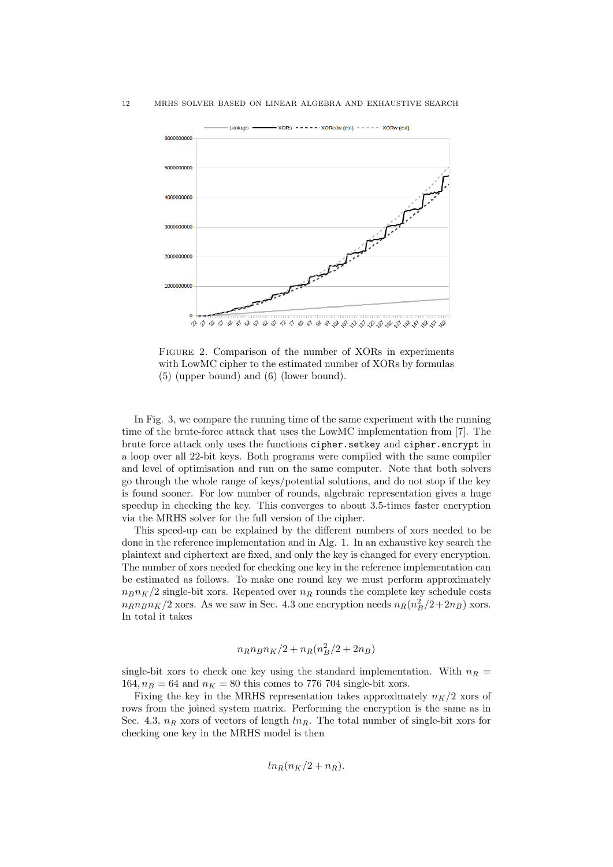

FIGURE 2. Comparison of the number of XORs in experiments with LowMC cipher to the estimated number of XORs by formulas (5) (upper bound) and (6) (lower bound).

In Fig. 3, we compare the running time of the same experiment with the running time of the brute-force attack that uses the LowMC implementation from [7]. The brute force attack only uses the functions cipher.setkey and cipher.encrypt in a loop over all 22-bit keys. Both programs were compiled with the same compiler and level of optimisation and run on the same computer. Note that both solvers go through the whole range of keys/potential solutions, and do not stop if the key is found sooner. For low number of rounds, algebraic representation gives a huge speedup in checking the key. This converges to about 3.5-times faster encryption via the MRHS solver for the full version of the cipher.

This speed-up can be explained by the different numbers of xors needed to be done in the reference implementation and in Alg. 1. In an exhaustive key search the plaintext and ciphertext are fixed, and only the key is changed for every encryption. The number of xors needed for checking one key in the reference implementation can be estimated as follows. To make one round key we must perform approximately  $n_B n_K/2$  single-bit xors. Repeated over  $n_R$  rounds the complete key schedule costs  $n_R n_B n_K/2$  xors. As we saw in Sec. 4.3 one encryption needs  $n_R(n_B^2/2 + 2n_B)$  xors. In total it takes

$$
n_R n_B n_K/2 + n_R (n_B^2/2 + 2n_B)
$$

single-bit xors to check one key using the standard implementation. With  $n_R =$ 164,  $n_B = 64$  and  $n_K = 80$  this comes to 776 704 single-bit xors.

Fixing the key in the MRHS representation takes approximately  $n_K/2$  xors of rows from the joined system matrix. Performing the encryption is the same as in Sec. 4.3,  $n_R$  xors of vectors of length  $ln_R$ . The total number of single-bit xors for checking one key in the MRHS model is then

$$
ln_R(n_K/2 + n_R).
$$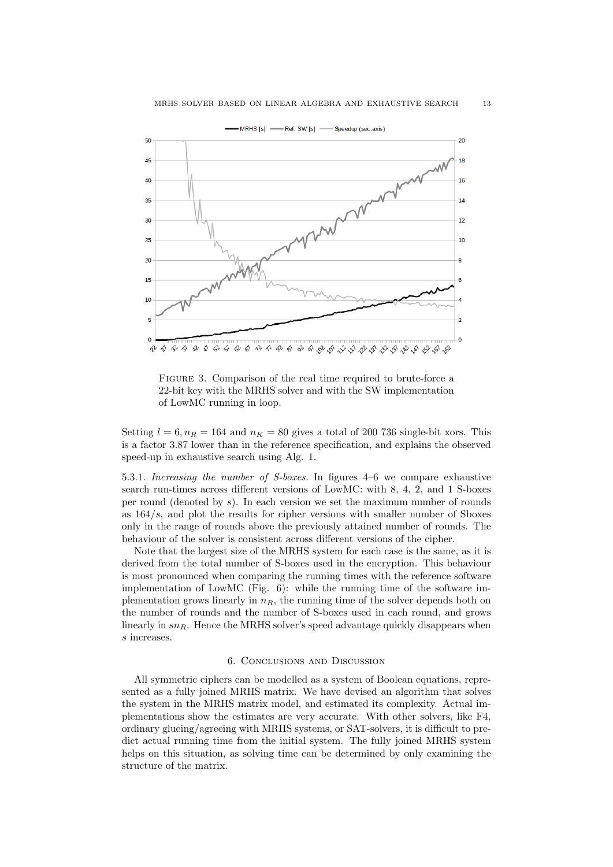

FIGURE 3. Comparison of the real time required to brute-force a 22-bit key with the MRHS solver and with the SW implementation of LowMC running in loop.

Setting  $l = 6$ ,  $n_R = 164$  and  $n_K = 80$  gives a total of 200 736 single-bit xors. This is a factor 3.87 lower than in the reference specification, and explains the observed speed-up in exhaustive search using Alg. 1.

5.3.1. Increasing the number of S-boxes. In figures 4–6 we compare exhaustive search run-times across different versions of LowMC: with 8, 4, 2, and 1 S-boxes per round (denoted by  $s$ ). In each version we set the maximum number of rounds as 164/s, and plot the results for cipher versions with smaller number of Sboxes only in the range of rounds above the previously attained number of rounds. The behaviour of the solver is consistent across different versions of the cipher.

Note that the largest size of the MRHS system for each case is the same, as it is derived from the total number of S-boxes used in the encryption. This behaviour is most pronounced when comparing the running times with the reference software implementation of LowMC (Fig. 6): while the running time of the software implementation grows linearly in  $n_R$ , the running time of the solver depends both on the number of rounds and the number of S-boxes used in each round, and grows linearly in  $sn_R$ . Hence the MRHS solver's speed advantage quickly disappears when s increases.

## 6. Conclusions and Discussion

All symmetric ciphers can be modelled as a system of Boolean equations, represented as a fully joined MRHS matrix. We have devised an algorithm that solves the system in the MRHS matrix model, and estimated its complexity. Actual implementations show the estimates are very accurate. With other solvers, like F4, ordinary glueing/agreeing with MRHS systems, or SAT-solvers, it is difficult to predict actual running time from the initial system. The fully joined MRHS system helps on this situation, as solving time can be determined by only examining the structure of the matrix.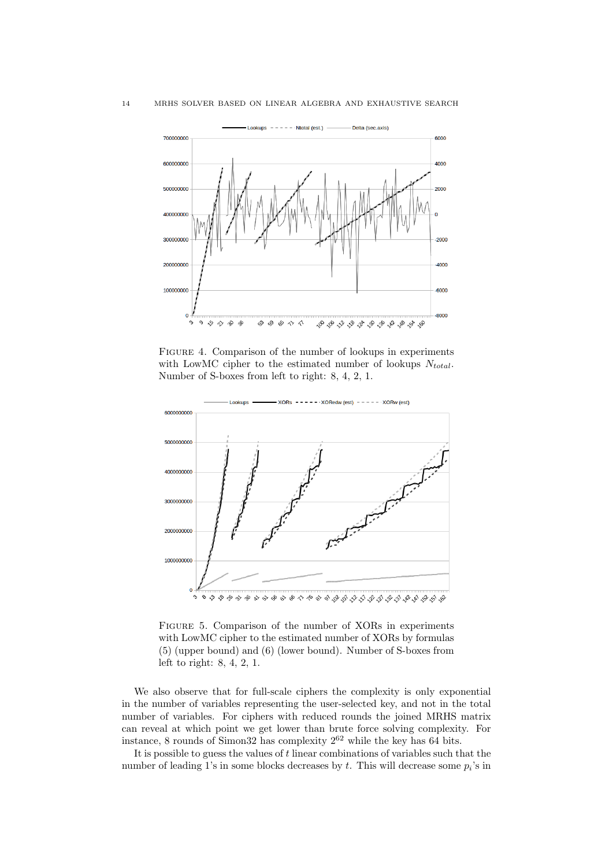

FIGURE 4. Comparison of the number of lookups in experiments with LowMC cipher to the estimated number of lookups  $N_{total}$ . Number of S-boxes from left to right: 8, 4, 2, 1.



Figure 5. Comparison of the number of XORs in experiments with LowMC cipher to the estimated number of XORs by formulas (5) (upper bound) and (6) (lower bound). Number of S-boxes from left to right: 8, 4, 2, 1.

We also observe that for full-scale ciphers the complexity is only exponential in the number of variables representing the user-selected key, and not in the total number of variables. For ciphers with reduced rounds the joined MRHS matrix can reveal at which point we get lower than brute force solving complexity. For instance, 8 rounds of Simon32 has complexity  $2^{62}$  while the key has 64 bits.

It is possible to guess the values of  $t$  linear combinations of variables such that the number of leading 1's in some blocks decreases by  $t$ . This will decrease some  $p_i$ 's in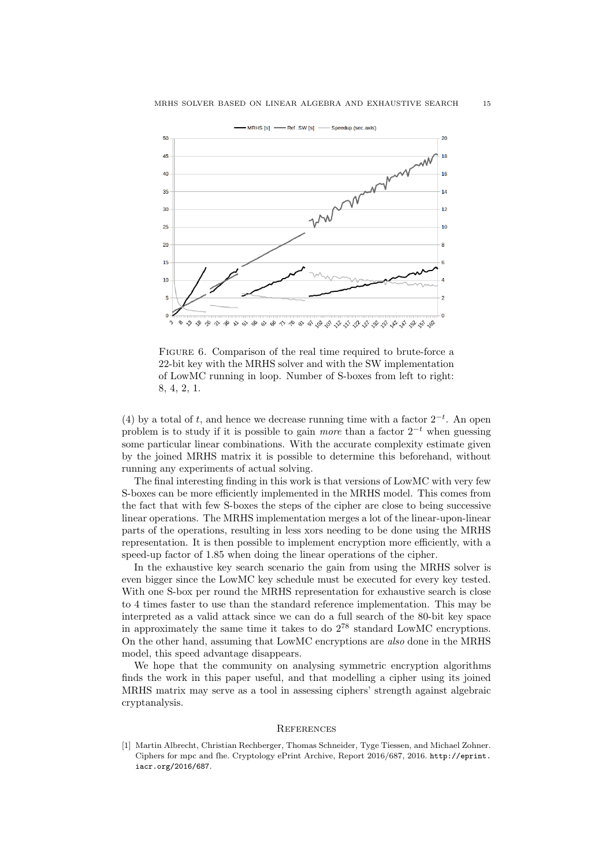

FIGURE 6. Comparison of the real time required to brute-force a 22-bit key with the MRHS solver and with the SW implementation of LowMC running in loop. Number of S-boxes from left to right: 8, 4, 2, 1.

(4) by a total of t, and hence we decrease running time with a factor  $2^{-t}$ . An open problem is to study if it is possible to gain *more* than a factor  $2^{-t}$  when guessing some particular linear combinations. With the accurate complexity estimate given by the joined MRHS matrix it is possible to determine this beforehand, without running any experiments of actual solving.

The final interesting finding in this work is that versions of LowMC with very few S-boxes can be more efficiently implemented in the MRHS model. This comes from the fact that with few S-boxes the steps of the cipher are close to being successive linear operations. The MRHS implementation merges a lot of the linear-upon-linear parts of the operations, resulting in less xors needing to be done using the MRHS representation. It is then possible to implement encryption more efficiently, with a speed-up factor of 1.85 when doing the linear operations of the cipher.

In the exhaustive key search scenario the gain from using the MRHS solver is even bigger since the LowMC key schedule must be executed for every key tested. With one S-box per round the MRHS representation for exhaustive search is close to 4 times faster to use than the standard reference implementation. This may be interpreted as a valid attack since we can do a full search of the 80-bit key space in approximately the same time it takes to do  $2^{78}$  standard LowMC encryptions. On the other hand, assuming that LowMC encryptions are also done in the MRHS model, this speed advantage disappears.

We hope that the community on analysing symmetric encryption algorithms finds the work in this paper useful, and that modelling a cipher using its joined MRHS matrix may serve as a tool in assessing ciphers' strength against algebraic cryptanalysis.

# **REFERENCES**

[1] Martin Albrecht, Christian Rechberger, Thomas Schneider, Tyge Tiessen, and Michael Zohner. Ciphers for mpc and fhe. Cryptology ePrint Archive, Report 2016/687, 2016. http://eprint. iacr.org/2016/687.